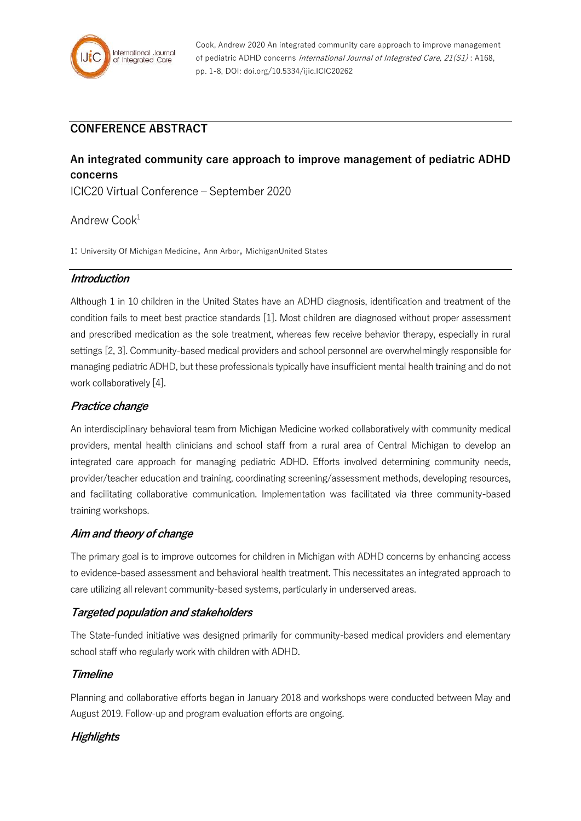

Cook, Andrew 2020 An integrated community care approach to improve management of pediatric ADHD concerns International Journal of Integrated Care, 21(S1): A168, pp. 1-8, DOI: doi.org/10.5334/ijic.ICIC20262

# **CONFERENCE ABSTRACT**

# **An integrated community care approach to improve management of pediatric ADHD concerns**

ICIC20 Virtual Conference – September 2020

## Andrew Cook<sup>1</sup>

1: University Of Michigan Medicine, Ann Arbor, MichiganUnited States

#### **Introduction**

Although 1 in 10 children in the United States have an ADHD diagnosis, identification and treatment of the condition fails to meet best practice standards [1]. Most children are diagnosed without proper assessment and prescribed medication as the sole treatment, whereas few receive behavior therapy, especially in rural settings [2, 3]. Community-based medical providers and school personnel are overwhelmingly responsible for managing pediatric ADHD, but these professionals typically have insufficient mental health training and do not work collaboratively [4].

#### **Practice change**

An interdisciplinary behavioral team from Michigan Medicine worked collaboratively with community medical providers, mental health clinicians and school staff from a rural area of Central Michigan to develop an integrated care approach for managing pediatric ADHD. Efforts involved determining community needs, provider/teacher education and training, coordinating screening/assessment methods, developing resources, and facilitating collaborative communication. Implementation was facilitated via three community-based training workshops.

#### **Aim and theory of change**

The primary goal is to improve outcomes for children in Michigan with ADHD concerns by enhancing access to evidence-based assessment and behavioral health treatment. This necessitates an integrated approach to care utilizing all relevant community-based systems, particularly in underserved areas.

#### **Targeted population and stakeholders**

The State-funded initiative was designed primarily for community-based medical providers and elementary school staff who regularly work with children with ADHD.

### **Timeline**

Planning and collaborative efforts began in January 2018 and workshops were conducted between May and August 2019. Follow-up and program evaluation efforts are ongoing.

### **Highlights**